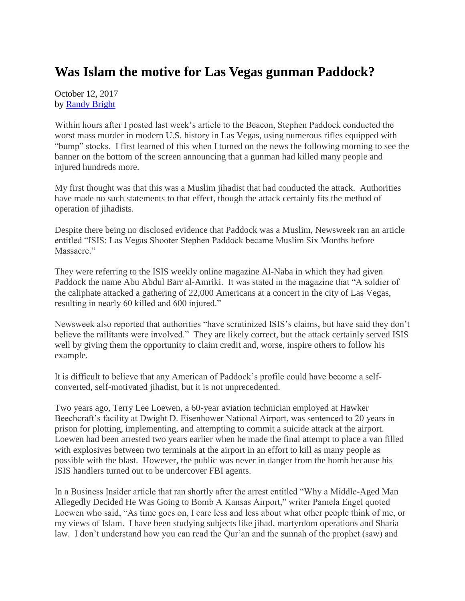## **Was Islam the motive for Las Vegas gunman Paddock?**

October 12, 2017 by [Randy Bright](http://tulsabeacon.com/writers/randy-bright/)

Within hours after I posted last week's article to the Beacon, Stephen Paddock conducted the worst mass murder in modern U.S. history in Las Vegas, using numerous rifles equipped with "bump" stocks. I first learned of this when I turned on the news the following morning to see the banner on the bottom of the screen announcing that a gunman had killed many people and injured hundreds more.

My first thought was that this was a Muslim jihadist that had conducted the attack. Authorities have made no such statements to that effect, though the attack certainly fits the method of operation of jihadists.

Despite there being no disclosed evidence that Paddock was a Muslim, Newsweek ran an article entitled "ISIS: Las Vegas Shooter Stephen Paddock became Muslim Six Months before Massacre."

They were referring to the ISIS weekly online magazine Al-Naba in which they had given Paddock the name Abu Abdul Barr al-Amriki. It was stated in the magazine that "A soldier of the caliphate attacked a gathering of 22,000 Americans at a concert in the city of Las Vegas, resulting in nearly 60 killed and 600 injured."

Newsweek also reported that authorities "have scrutinized ISIS's claims, but have said they don't believe the militants were involved." They are likely correct, but the attack certainly served ISIS well by giving them the opportunity to claim credit and, worse, inspire others to follow his example.

It is difficult to believe that any American of Paddock's profile could have become a selfconverted, self-motivated jihadist, but it is not unprecedented.

Two years ago, Terry Lee Loewen, a 60-year aviation technician employed at Hawker Beechcraft's facility at Dwight D. Eisenhower National Airport, was sentenced to 20 years in prison for plotting, implementing, and attempting to commit a suicide attack at the airport. Loewen had been arrested two years earlier when he made the final attempt to place a van filled with explosives between two terminals at the airport in an effort to kill as many people as possible with the blast. However, the public was never in danger from the bomb because his ISIS handlers turned out to be undercover FBI agents.

In a Business Insider article that ran shortly after the arrest entitled "Why a Middle-Aged Man Allegedly Decided He Was Going to Bomb A Kansas Airport," writer Pamela Engel quoted Loewen who said, "As time goes on, I care less and less about what other people think of me, or my views of Islam. I have been studying subjects like jihad, martyrdom operations and Sharia law. I don't understand how you can read the Qur'an and the sunnah of the prophet (saw) and